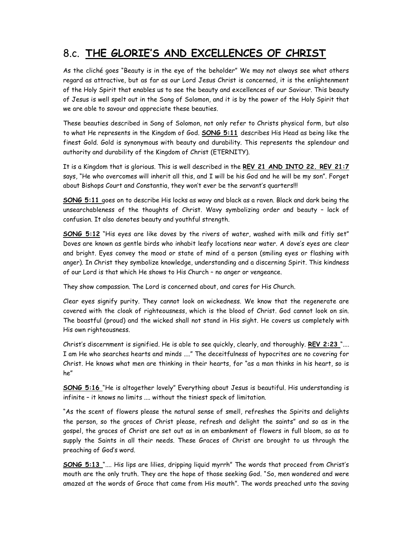## 8.c. THE GLORIE'S AND EXCELLENCES OF CHRIST

As the cliché goes "Beauty is in the eye of the beholder" We may not always see what others regard as attractive, but as far as our Lord Jesus Christ is concerned, it is the enlightenment of the Holy Spirit that enables us to see the beauty and excellences of our Saviour. This beauty of Jesus is well spelt out in the Song of Solomon, and it is by the power of the Holy Spirit that we are able to savour and appreciate these beauties.

These beauties described in Song of Solomon, not only refer to Christs physical form, but also to what He represents in the Kingdom of God. SONG 5:11 describes His Head as being like the finest Gold. Gold is synonymous with beauty and durability. This represents the splendour and authority and durability of the Kingdom of Christ (ETERNITY).

It is a Kingdom that is glorious. This is well described in the REV 21 AND INTO 22. REV 21:7 says, "He who overcomes will inherit all this, and I will be his God and he will be my son". Forget about Bishops Court and Constantia, they won't ever be the servant's quarters!!!

SONG 5:11 goes on to describe His locks as wavy and black as a raven. Black and dark being the unsearchableness of the thoughts of Christ. Wavy symbolizing order and beauty – lack of confusion. It also denotes beauty and youthful strength.

SONG 5:12 "His eyes are like doves by the rivers of water, washed with milk and fitly set" Doves are known as gentle birds who inhabit leafy locations near water. A dove's eyes are clear and bright. Eyes convey the mood or state of mind of a person (smiling eyes or flashing with anger). In Christ they symbolize knowledge, understanding and a discerning Spirit. This kindness of our Lord is that which He shows to His Church – no anger or vengeance.

They show compassion. The Lord is concerned about, and cares for His Church.

Clear eyes signify purity. They cannot look on wickedness. We know that the regenerate are covered with the cloak of righteousness, which is the blood of Christ. God cannot look on sin. The boastful (proud) and the wicked shall not stand in His sight. He covers us completely with His own righteousness.

Christ's discernment is signified. He is able to see quickly, clearly, and thoroughly. REV 2:23 ".... I am He who searches hearts and minds ...." The deceitfulness of hypocrites are no covering for Christ. He knows what men are thinking in their hearts, for "as a man thinks in his heart, so is he"

SONG 5:16 "He is altogether lovely" Everything about Jesus is beautiful. His understanding is infinite – it knows no limits .... without the tiniest speck of limitation.

"As the scent of flowers please the natural sense of smell, refreshes the Spirits and delights the person, so the graces of Christ please, refresh and delight the saints" and so as in the gospel, the graces of Christ are set out as in an embankment of flowers in full bloom, so as to supply the Saints in all their needs. These Graces of Christ are brought to us through the preaching of God's word.

SONG 5:13 ".... His lips are lilies, dripping liquid myrrh" The words that proceed from Christ's mouth are the only truth. They are the hope of those seeking God. "So, men wondered and were amazed at the words of Grace that came from His mouth". The words preached unto the saving